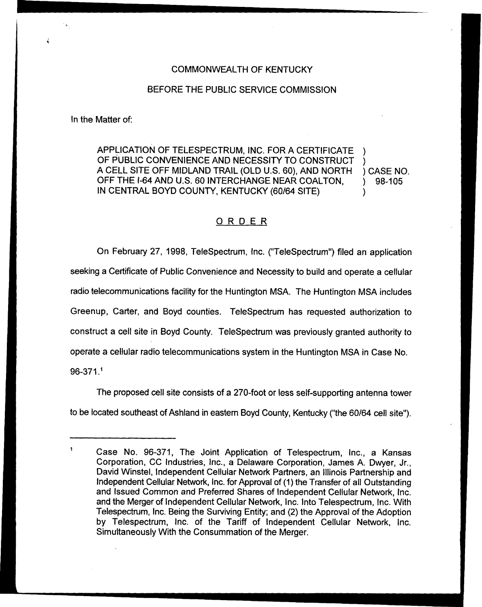## COMMONWEALTH OF KENTUCKY

## BEFORE THE PUBLIC SERVICE COMMISSION

In the Matter of:

APPLICATION OF TELESPECTRUM, INC. FOR A CERTIFICATE OF PUBLIC CONVENIENCE AND NECESSITY TO CONSTRUCT A CELL SITE OFF MIDLAND TRAIL (OLD U.S. 60), AND NORTH OFF THE I-64 AND U.S. 60 INTERCHANGE NEAR COALTON, IN CENTRAL BOYD COUNTY, KENTUCKY (60/64 SITE) ) ) ) CASE NO. ) 98-105 )

## <u>ORDER</u>

On February 27, 1998, TeleSpectrum, tnc. ("TeleSpectrum") filed an application seeking a Certificate of Public Convenience and Necessity to build and operate a cellular radio telecommunications facility for the Huntington MSA. The Huntington MSA includes Greenup, Carter, and Boyd counties. TeleSpectrum has requested authorization to construct a cell site in Boyd County. TeleSpectrum was previously granted authority to operate a cellular radio telecommunications system in the Huntington MSA in Case No.  $96 - 371.1$ 

The proposed cell site consists of a 270-foot or less self-supporting antenna tower to be located southeast of Ashland in eastern Boyd County, Kentucky ("the 60/64 cell site").

Case No. 96-371, The Joint Application of Telespectrum, Inc,, a Kansas Corporation, CC Industries, Inc., a Delaware Corporation, James A. Dwyer, Jr., David Winstel, Independent Cellular Network Partners, an Illinois Partnership and Independent Cellular Network, Inc. for Approval of (1) the Transfer of all Outstanding and Issued Common and Preferred Shares of Independent Cellular Network, lnc. and the Merger of Independent Cellular Network, Inc. Into Telespectrum, Inc. With Telespectrum, Inc. Being the Surviving Entity; and (2) the Approval of the A'doption by Telespectrum, Inc. of the Tariff of Independent Cellular Network, Inc. Simultaneously With the Consummation of the Merger.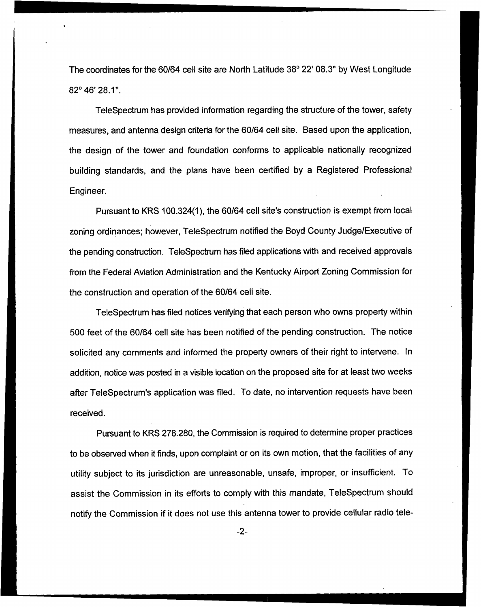The coordinates for the 60/64 cell site are North Latitude 38° 22' 08.3" by West Longitude 82°46'28.1".

TeleSpectrum has provided information regarding the structure of the tower, safety measures, and antenna design criteria for the 60/64 cell site. Based upon the application, the design of the tower and foundation conforms to applicable nationally recognized building standards, and the plans have been certified by a Registered Professional Engineer.

Pursuant to KRS 100.324(1), the 60/64 cell site's construction is exempt from local zoning ordinances; however, TeleSpectrum notified the Boyd County Judge/Executive of the pending construction. TeleSpectrum has filed applications with and received approvals from the Federal Aviation Administration and the Kentucky Airport Zoning Commission for the construction and operation of the 60/64 cell site.

TeleSpectrum has filed notices verifying that each person who owns property within 500 feet of the 60/64 cell site has been notified of the pending construction. The notice solicited any comments and informed the property owners of their right to intervene. In addition, notice was posted in a visible location on the proposed site for at least two weeks after TeleSpectrum's application was filed. To date, no intervention requests have been received.

Pursuant to KRS 278.280, the Commission is required to determine proper practices to be observed when it finds, upon complaint or on its own motion, that the facilities of any utility subject to its jurisdiction are unreasonable, unsafe, improper, or insufficient. To assist the Commission in its efforts to comply with this mandate, TeleSpectrum should notify the Commission if it does not use this antenna tower to provide cellular radio tele-

 $-2-$